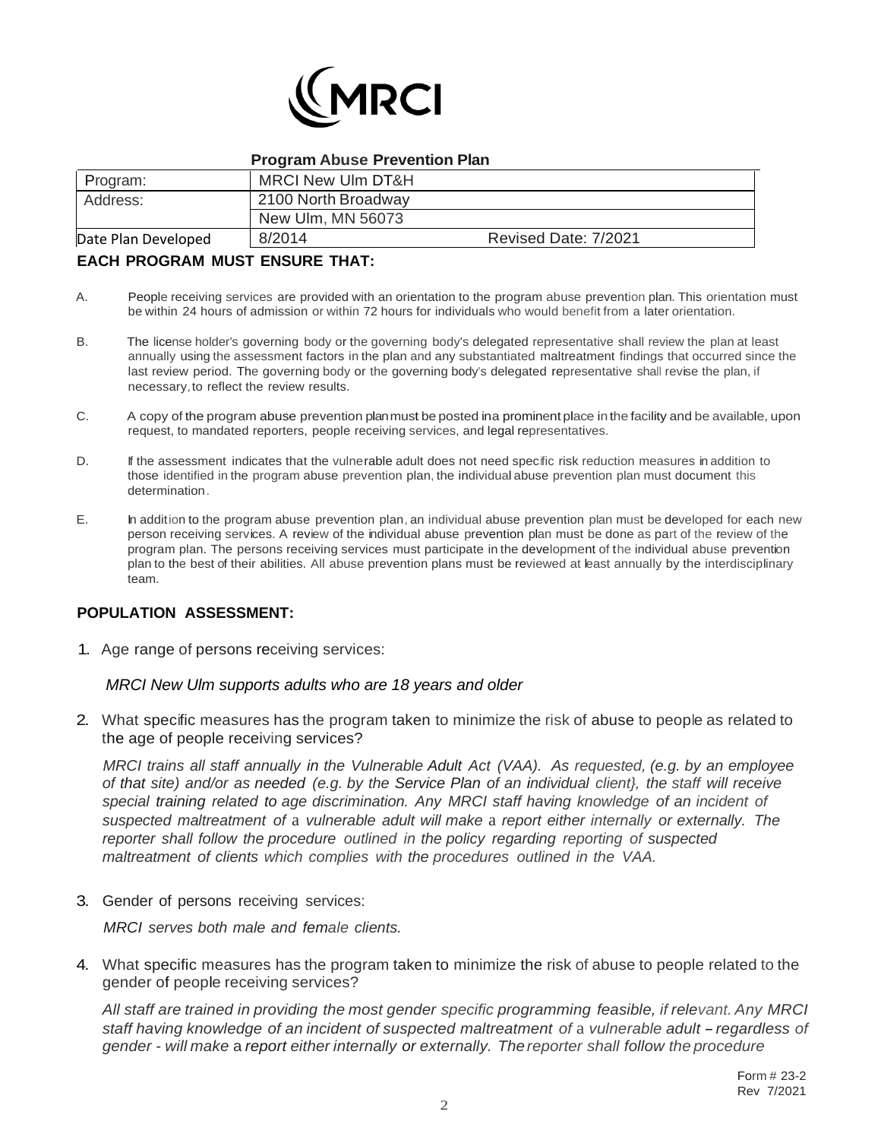

#### **Program Abuse Prevention Plan**

| Program:            | MRCI New Ulm DT&H   |                      |
|---------------------|---------------------|----------------------|
| Address:            | 2100 North Broadway |                      |
|                     | New Ulm, MN 56073   |                      |
| Date Plan Developed | 8/2014              | Revised Date: 7/2021 |

# **EACH PROGRAM MUST ENSURE THAT:**

- A. People receiving services are provided with an orientation to the program abuse prevention plan. This orientation must be within 24 hours of admission or within 72 hours for individuals who would benefit from a later orientation.
- B. The license holder's governing body or the governing body's delegated representative shall review the plan at least annually using the assessment factors in the plan and any substantiated maltreatment findings that occurred since the last review period. The governing body or the governing body's delegated representative shall revise the plan, if necessary,to reflect the review results.
- C. A copy of the program abuse prevention planmust be posted ina prominent place inthe facility and be available, upon request, to mandated reporters, people receiving services, and legal representatives.
- D. If the assessment indicates that the vulnerable adult does not need specific risk reduction measures in addition to those identified in the program abuse prevention plan, the individual abuse prevention plan must document this determination.
- E. In addition to the program abuse prevention plan, an individual abuse prevention plan must be developed for each new person receiving services. A review of the individual abuse prevention plan must be done as part of the review of the program plan. The persons receiving services must participate in the development of the individual abuse prevention plan to the best of their abilities. All abuse prevention plans must be reviewed at least annually by the interdisciplinary team.

## **POPULATION ASSESSMENT:**

1. Age range of persons receiving services:

*MRCI New Ulm supports adults who are 18 years and older*

2. What specific measures has the program taken to minimize the risk of abuse to people as related to the age of people receiving services?

*MRCI trains all staff annually in the Vulnerable Adult Act (VAA). As requested, (e.g. by an employee* of that site) and/or as needed (e.g. by the Service Plan of an individual client), the staff will receive *special training related to age discrimination. Any MRCI staff having knowledge of an incident of suspected maltreatment of* a *vulnerable adult will make* a *report either internally or externally. The reporter shall follow the procedure outlined in the policy regarding reporting of suspected maltreatment of clients which complies with the procedures outlined in the VAA.*

3. Gender of persons receiving services:

*MRCI serves both male and female clients.*

4. What specific measures has the program taken to minimize the risk of abuse to people related to the gender of people receiving services?

*All staff are trained in providing the most gender specific programming feasible, if relevant. Any MRCI staff having knowledge of an incident of suspected maltreatment of* <sup>a</sup> *vulnerable adult* -*regardless of gender* - *will make* a *report either internally or externally. The reporter shall follow the procedure*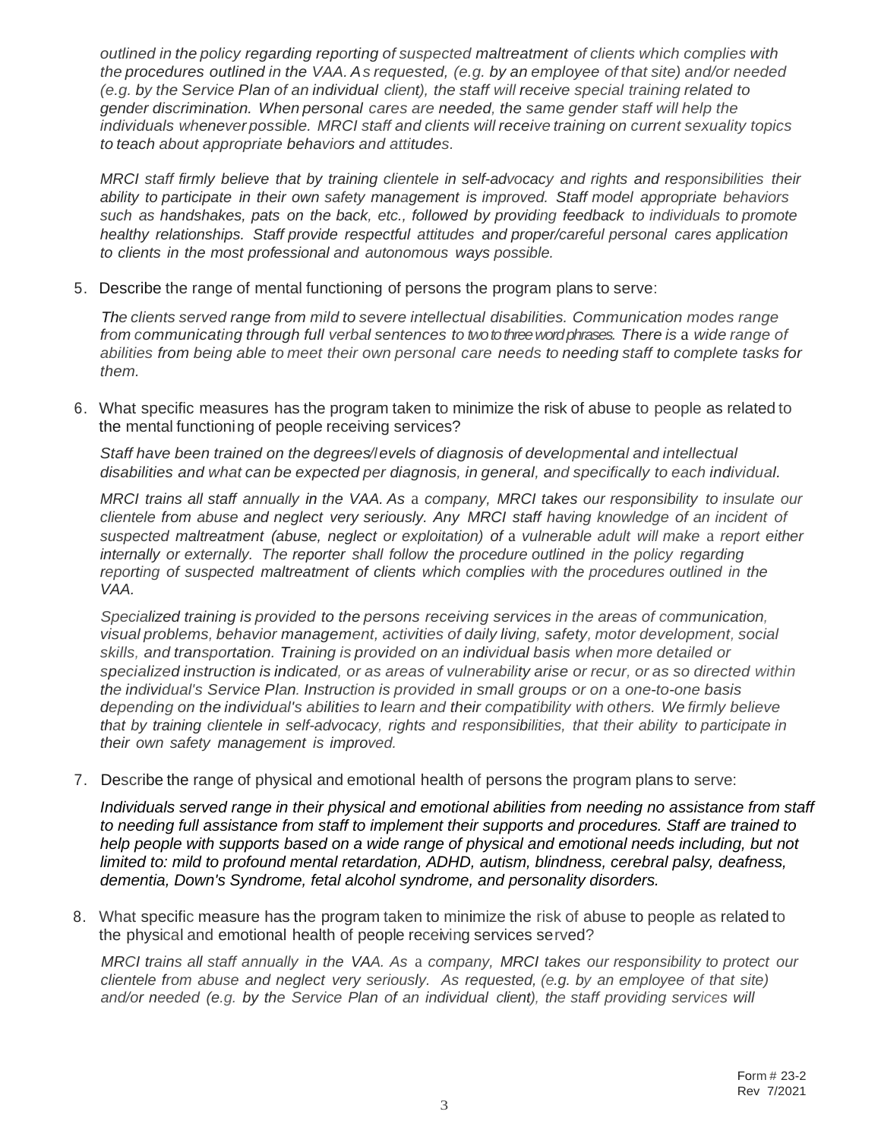*outlined in the policy regarding reporting of suspected maltreatment of clients which complies with the procedures outlined in the VAA. As requested, (e.g. by an employee of that site) and/or needed (e.g. by the Service Plan of an individual client), the staff will receive special training related to gender discrimination. When personal cares are needed, the same gender staff will help the individuals whenever possible. MRCI staff and clients will receive training on current sexuality topics to teach about appropriate behaviors and attitudes.*

*MRCI staff firmly believe that by training clientele in self-advocacy and rights and responsibilities their ability to participate in their own safety management is improved. Staff model appropriate behaviors such as handshakes, pats on the back, etc., followed by providing feedback to individuals to promote healthy relationships. Staff provide respectful attitudes and proper/careful personal cares application to clients in the most professional and autonomous ways possible.*

5. Describe the range of mental functioning of persons the program plans to serve:

*The clients served range from mild to severe intellectual disabilities. Communication modes range from communicating through full verbal sentences to twoto three word phrases. There is* a *wide range of abilities from being able to meet their own personal care needs to needing staff to complete tasks for them.*

6. What specific measures has the program taken to minimize the risk of abuse to people as related to the mental functioning of people receiving services?

*Staff have been trained on the degrees/levels of diagnosis of developmental and intellectual disabilities and what can be expected per diagnosis, in general, and specifically to each individual.*

*MRCI trains all staff annually in the VAA. As* a *company, MRCI takes our responsibility to insulate our clientele from abuse and neglect very seriously. Any MRCI staff having knowledge of an incident of suspected maltreatment (abuse, neglect or exploitation) of* a *vulnerable adult will make* a *report either internally or externally. The reporter shall follow the procedure outlined in the policy regarding reporting of suspected maltreatment of clients which complies with the procedures outlined in the VAA.*

*Specialized training is provided to the persons receiving services in the areas of communication, visual problems, behavior management, activities of daily living, safety, motor development, social skills, and transportation. Training is provided on an individual basis when more detailed or specialized instruction is indicated, or as areas of vulnerability arise or recur, or as so directed within the individual's Service Plan. Instruction is provided in small groups or on* a *one-to-one basis depending on the individual's abilities to learn and their compatibility with others. We firmly believe that by training clientele in self-advocacy, rights and responsibilities, that their ability to participate in their own safety management is improved.*

7. Describe the range of physical and emotional health of persons the program plans to serve:

*Individuals served range in their physical and emotional abilities from needing no assistance from staff to needing full assistance from staff to implement their supports and procedures. Staff are trained to help people with supports based on a wide range of physical and emotional needs including, but not limited to: mild to profound mental retardation, ADHD, autism, blindness, cerebral palsy, deafness, dementia, Down's Syndrome, fetal alcohol syndrome, and personality disorders.*

8. What specific measure has the program taken to minimize the risk of abuse to people as related to the physical and emotional health of people receiving services served?

*MRCI trains all staff annually in the VAA. As* a *company, MRCI takes our responsibility to protect our clientele from abuse and neglect very seriously. As requested, (e.g. by an employee of that site) and/or needed (e.g. by the Service Plan of an individual client), the staff providing services will*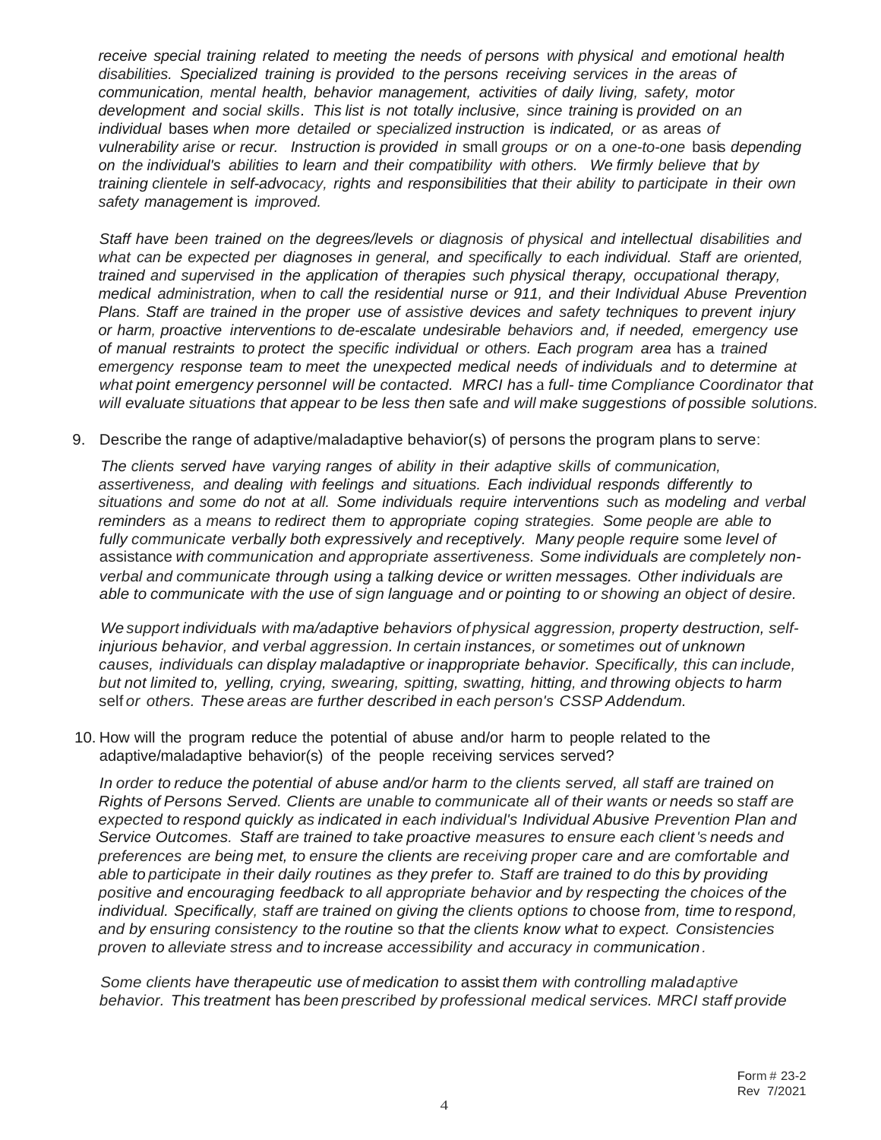*receive special training related to meeting the needs of persons with physical and emotional health disabilities. Specialized training is provided to the persons receiving services in the areas of communication, mental health, behavior management, activities of daily living, safety, motor development and social skills. This list is not totally inclusive, since training* is *provided on an individual* bases *when more detailed or specialized instruction* is *indicated, or* as areas *of vulnerability arise or recur. Instruction is provided in* small *groups or on* a *one-to-one* basis *depending on the individual's abilities to learn and their compatibility with others. We firmly believe that by training clientele in self-advocacy, rights and responsibilities that their ability to participate in their own safety management* is *improved.*

*Staff have been trained on the degrees/levels or diagnosis of physical and intellectual disabilities and what can be expected per diagnoses in general, and specifically to each individual. Staff are oriented, trained and supervised in the application of therapies such physical therapy, occupational therapy, medical administration, when to call the residential nurse or 911, and their Individual Abuse Prevention Plans. Staff are trained in the proper use of assistive devices and safety techniques to prevent injury or harm, proactive interventions to de-escalate undesirable behaviors and, if needed, emergency use of manual restraints to protect the specific individual or others. Each program area* has a *trained emergency response team to meet the unexpected medical needs of individuals and to determine at what point emergency personnel will be contacted. MRCI has* a *full- time Compliance Coordinator that will evaluate situations that appear to be less then* safe *and will make suggestions of possible solutions.*

9. Describe the range of adaptive/maladaptive behavior(s) of persons the program plans to serve:

*The clients served have varying ranges of ability in their adaptive skills of communication, assertiveness, and dealing with feelings and situations. Each individual responds differently to situations and some do not at all. Some individuals require interventions such* as *modeling and verbal reminders as* a *means to redirect them to appropriate coping strategies. Some people are able to fully communicate verbally both expressively and receptively. Many people require* some *level of* assistance *with communication and appropriate assertiveness. Some individuals are completely nonverbal and communicate through using* a *talking device or written messages. Other individuals are* able to communicate with the use of sign language and or pointing to or showing an object of desire.

*We support individuals with ma/adaptive behaviors of physical aggression, property destruction, selfinjurious behavior, and verbal aggression. In certain instances, or sometimes out of unknown causes, individuals can display maladaptive or inappropriate behavior. Specifically, this can include, but not limited to, yelling, crying, swearing, spitting, swatting, hitting, and throwing objects to harm* self *or others. These areas are further described in each person's CSSP Addendum.*

10. How will the program reduce the potential of abuse and/or harm to people related to the adaptive/maladaptive behavior(s) of the people receiving services served?

In order to reduce the potential of abuse and/or harm to the clients served, all staff are trained on *Rights of Persons Served. Clients are unable to communicate all of their wants or needs* so *staff are expected to respond quickly as indicated in each individual's Individual Abusive Prevention Plan and Service Outcomes. Staff are trained to take proactive measures to ensure each client's needs and preferences are being met, to ensure the clients are receiving proper care and are comfortable and* able to participate in their daily routines as they prefer to. Staff are trained to do this by providing *positive and encouraging feedback to all appropriate behavior and by respecting the choices of the individual. Specifically, staff are trained on giving the clients options to* choose *from, time to respond, and by ensuring consistency to the routine* so *that the clients know what to expect. Consistencies proven to alleviate stress and to increase accessibility and accuracy in communication.*

*Some clients have therapeutic use of medication to* assist *them with controlling maladaptive behavior. This treatment* has *been prescribed by professional medical services. MRCI staff provide*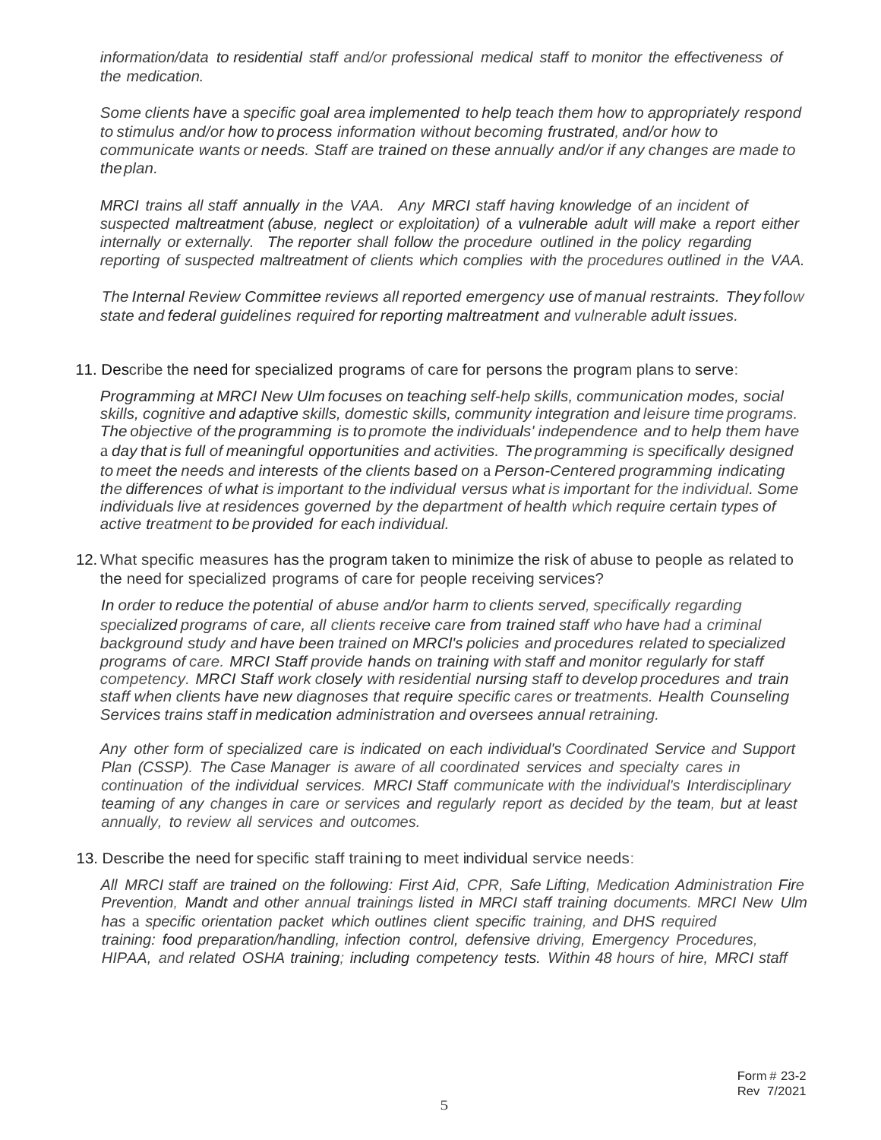*information/data to residential staff and/or professional medical staff to monitor the effectiveness of the medication.*

*Some clients have* a *specific goal area implemented to help teach them how to appropriately respond to stimulus and/or how to process information without becoming frustrated, and/or how to communicate wants or needs. Staff are trained on these annually and/or if any changes are made to theplan.*

*MRCI trains all staff annually in the VAA. Any MRCI staff having knowledge of an incident of suspected maltreatment (abuse, neglect or exploitation) of* a *vulnerable adult will make* a *report either internally or externally. The reporter shall follow the procedure outlined in the policy regarding reporting of suspected maltreatment of clients which complies with the procedures outlined in the VAA.*

*The Internal Review Committee reviews all reported emergency use of manual restraints. They follow state and federal guidelines required for reporting maltreatment and vulnerable adult issues.*

11. Describe the need for specialized programs of care for persons the program plans to serve:

*Programming at MRCI New Ulm focuses on teaching self-help skills, communication modes, social skills, cognitive and adaptive skills, domestic skills, community integration and leisure time programs. The objective of the programming is to promote the individuals' independence and to help them have* a *day that is full of meaningful opportunities and activities. The programming is specifically designed to meet the needs and interests of the clients based on* a *Person-Centered programming indicating the differences of what is important to the individual versus what is important for the individual. Some individuals live at residences governed by the department of health which require certain types of active treatment to be provided for each individual.*

12. What specific measures has the program taken to minimize the risk of abuse to people as related to the need for specialized programs of care for people receiving services?

*In order to reduce the potential of abuse and/or harm to clients served, specifically regarding specialized programs of care, all clients receive care from trained staff who have had* a *criminal background study and have been trained on MRCl's policies and procedures related to specialized programs of care. MRCI Staff provide hands on training with staff and monitor regularly for staff competency. MRCI Staff work closely with residential nursing staff to develop procedures and train staff when clients have new diagnoses that require specific cares or treatments. Health Counseling Services trains staff in medication administration and oversees annual retraining.*

*Any other form of specialized care is indicated on each individual's Coordinated Service and Support Plan (CSSP). The Case Manager is aware of all coordinated services and specialty cares in continuation of the individual services. MRCI Staff communicate with the individual's Interdisciplinary* teaming of any changes in care or services and regularly report as decided by the team, but at least *annually, to review all services and outcomes.*

13. Describe the need for specific staff training to meet individual service needs:

*All MRCI staff are trained on the following: First Aid, CPR, Safe Lifting, Medication Administration Fire Prevention, Mandt and other annual trainings listed in MRCI staff training documents. MRCI New Ulm has* a *specific orientation packet which outlines client specific training, and DHS required training: food preparation/handling, infection control, defensive driving, Emergency Procedures, HIPAA, and related OSHA training; including competency tests. Within 48 hours of hire, MRCI staff*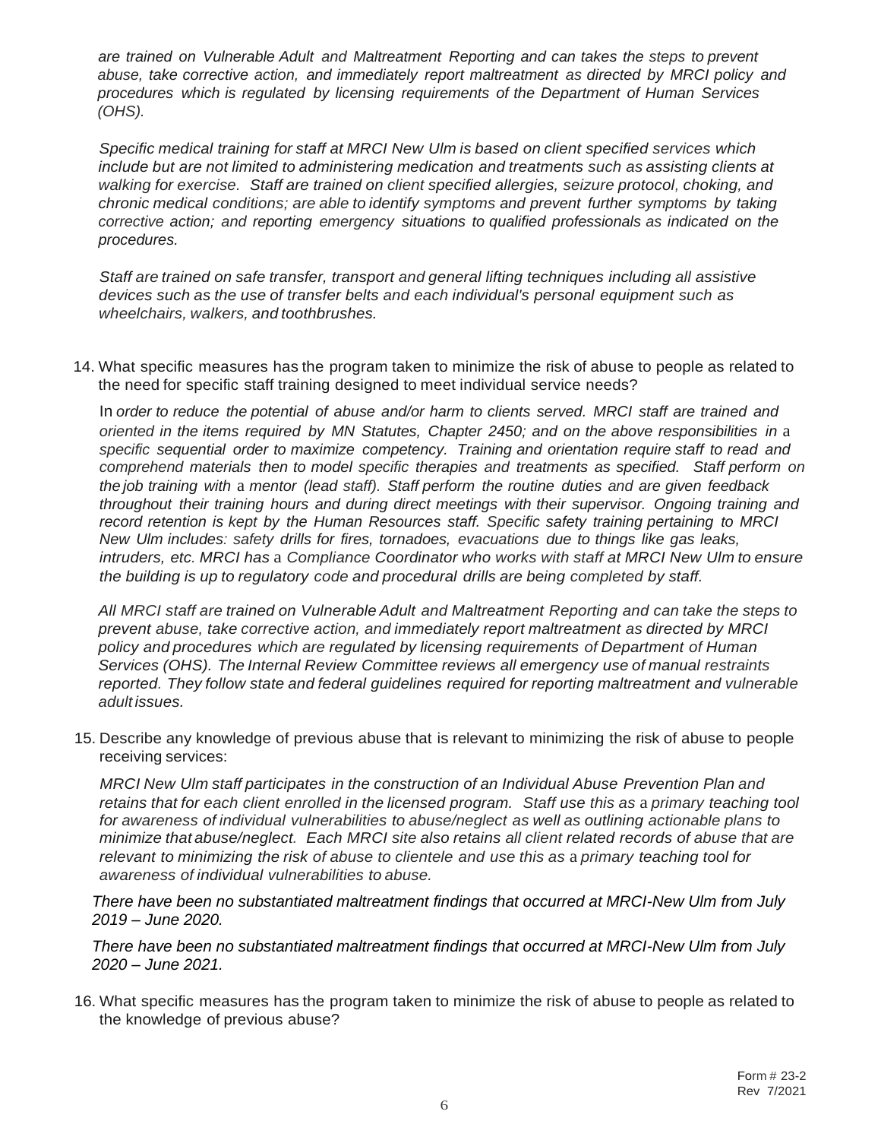*are trained on Vulnerable Adult and Maltreatment Reporting and can takes the steps to prevent abuse, take corrective action, and immediately report maltreatment as directed by MRCI policy and procedures which is regulated by licensing requirements of the Department of Human Services (OHS).*

*Specific medical training for staff at MRCI New Ulm is based on client specified services which include but are not limited to administering medication and treatments such as assisting clients at walking for exercise. Staff are trained on client specified allergies, seizure protocol, choking, and chronic medical conditions; are able to identify symptoms and prevent further symptoms by taking corrective action; and reporting emergency situations to qualified professionals as indicated on the procedures.*

*Staff are trained on safe transfer, transport and general lifting techniques including all assistive devices such as the use of transfer belts and each individual's personal equipment such as wheelchairs, walkers, and toothbrushes.*

14. What specific measures has the program taken to minimize the risk of abuse to people as related to the need for specific staff training designed to meet individual service needs?

In *order to reduce the potential of abuse and/or harm to clients served. MRCI staff are trained and oriented in the items required by MN Statutes, Chapter 2450; and on the above responsibilities in* a *specific sequential order to maximize competency. Training and orientation require staff to read and comprehend materials then to model specific therapies and treatments as specified. Staff perform on the job training with* a *mentor (lead staff). Staff perform the routine duties and are given feedback throughout their training hours and during direct meetings with their supervisor. Ongoing training and record retention is kept by the Human Resources staff. Specific safety training pertaining to MRCI New Ulm includes: safety drills for fires, tornadoes, evacuations due to things like gas leaks, intruders, etc. MRCI has* a *Compliance Coordinator who works with staff at MRCI New Ulm to ensure the building is up to regulatory code and procedural drills are being completed by staff.*

*All MRCI staff are trained on Vulnerable Adult and Maltreatment Reporting and can take the steps to prevent abuse, take corrective action, and immediately report maltreatment as directed by MRCI policy and procedures which are regulated by licensing requirements of Department of Human Services (OHS). The Internal Review Committee reviews all emergency use of manual restraints reported. They follow state and federal guidelines required for reporting maltreatment and vulnerable adult issues.*

15. Describe any knowledge of previous abuse that is relevant to minimizing the risk of abuse to people receiving services:

*MRCI New Ulm staff participates in the construction of an Individual Abuse Prevention Plan and retains that for each client enrolled in the licensed program. Staff use this as* a *primary teaching tool for awareness of individual vulnerabilities to abuse/neglect as well as outlining actionable plans to minimize that abuse/neglect. Each MRCI site also retains all client related records of abuse that are relevant to minimizing the risk of abuse to clientele and use this as* a *primary teaching tool for awareness of individual vulnerabilities to abuse.*

*There have been no substantiated maltreatment findings that occurred at MRCI-New Ulm from July 2019 – June 2020.*

*There have been no substantiated maltreatment findings that occurred at MRCI-New Ulm from July 2020 – June 2021.*

16. What specific measures has the program taken to minimize the risk of abuse to people as related to the knowledge of previous abuse?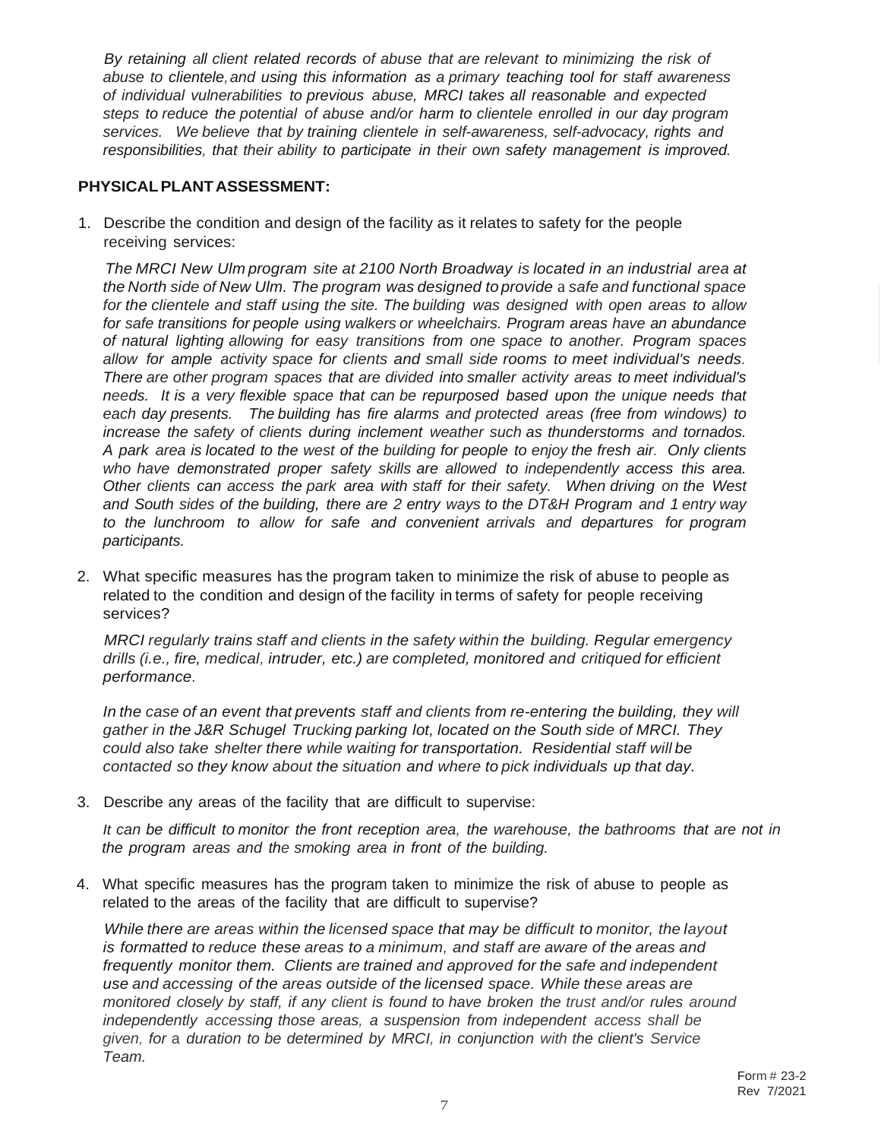*By retaining all client related records of abuse that are relevant to minimizing the risk of abuse to clientele,and using this information as a primary teaching tool for staff awareness of individual vulnerabilities to previous abuse, MRCI takes all reasonable and expected steps to reduce the potential of abuse and/or harm to clientele enrolled in our day program services. We believe that by training clientele in self-awareness, self-advocacy, rights and responsibilities, that their ability to participate in their own safety management is improved.*

### **PHYSICALPLANTASSESSMENT:**

1. Describe the condition and design of the facility as it relates to safety for the people receiving services:

*The MRCI New Ulm program site at 2100 North Broadway is located in an industrial area at the North side of New Ulm. The program was designed to provide* a *safe and functional space for the clientele and staff using the site. The building was designed with open areas to allow for safe transitions for people using walkers or wheelchairs. Program areas have an abundance of natural lighting allowing for easy transitions from one space to another. Program spaces allow for ample activity space for clients and small side rooms to meet individual's needs. There are other program spaces that are divided into smaller activity areas to meet individual's needs. It is a very flexible space that can be repurposed based upon the unique needs that each day presents. The building has fire alarms and protected areas (free from windows) to increase the safety of clients during inclement weather such as thunderstorms and tornados.*  A park area is located to the west of the building for people to enjoy the fresh air. Only clients *who have demonstrated proper safety skills are allowed to independently access this area. Other clients can access the park area with staff for their safety. When driving on the West and South sides of the building, there are 2 entry ways to the DT&H Program and 1 entry way to the lunchroom to allow for safe and convenient arrivals and departures for program participants.*

2. What specific measures has the program taken to minimize the risk of abuse to people as related to the condition and design of the facility in terms of safety for people receiving services?

*MRCI regularly trains staff and clients in the safety within the building. Regular emergency drills (i.e., fire, medical, intruder, etc.) are completed, monitored and critiqued for efficient performance.*

*In the case of an event that prevents staff and clients from re-entering the building, they will gather in the J&R Schugel Trucking parking lot, located on the South side of MRCI. They could also take shelter there while waiting for transportation. Residential staff will be contacted so they know about the situation and where to pick individuals up that day.*

3. Describe any areas of the facility that are difficult to supervise:

It can be difficult to monitor the front reception area, the warehouse, the bathrooms that are not in *the program areas and the smoking area in front of the building.*

4. What specific measures has the program taken to minimize the risk of abuse to people as related to the areas of the facility that are difficult to supervise?

*While there are areas within the licensed space that may be difficult to monitor, the layout is formatted to reduce these areas to a minimum, and staff are aware of the areas and frequently monitor them. Clients are trained and approved for the safe and independent use and accessing of the areas outside of the licensed space. While these areas are monitored closely by staff, if any client is found to have broken the trust and/or rules around independently accessing those areas, a suspension from independent access shall be given, for* a *duration to be determined by MRCI, in conjunction with the client's Service Team.*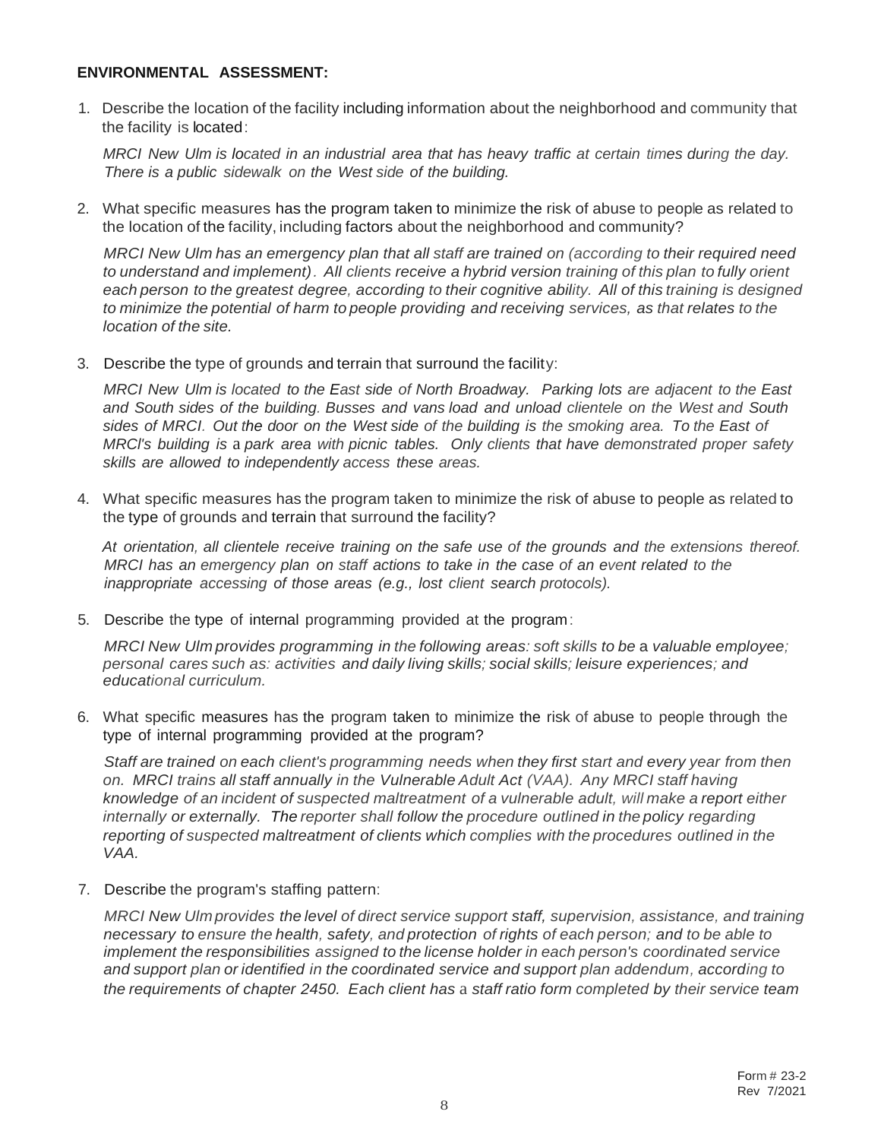#### **ENVIRONMENTAL ASSESSMENT:**

1. Describe the location of the facility including information about the neighborhood and community that the facility is located:

MRCI New Ulm is located in an industrial area that has heavy traffic at certain times during the day. *There is a public sidewalk on the West side of the building.*

2. What specific measures has the program taken to minimize the risk of abuse to people as related to the location of the facility, including factors about the neighborhood and community?

*MRCI New Ulm has an emergency plan that all staff are trained on (according to their required need to understand and implement). All clients receive a hybrid version training of this plan to fully orient* each person to the greatest degree, according to their cognitive ability. All of this training is designed *to minimize the potential of harm to people providing and receiving services, as that relates to the location of the site.*

3. Describe the type of grounds and terrain that surround the facility:

*MRCI New Ulm is located to the East side of North Broadway. Parking lots are adjacent to the East and South sides of the building. Busses and vans load and unload clientele on the West and South* sides of MRCI. Out the door on the West side of the building is the smoking area. To the East of *MRCl's building is* a *park area with picnic tables. Only clients that have demonstrated proper safety skills are allowed to independently access these areas.*

4. What specific measures has the program taken to minimize the risk of abuse to people as related to the type of grounds and terrain that surround the facility?

*At orientation, all clientele receive training on the safe use of the grounds and the extensions thereof. MRCI has an emergency plan on staff actions to take in the case of an event related to the inappropriate accessing of those areas (e.g., lost client search protocols).*

5. Describe the type of internal programming provided at the program:

*MRCI New Ulm provides programming in the following areas: soft skills to be* a *valuable employee; personal cares such as: activities and daily living skills; social skills; leisure experiences; and educational curriculum.*

6. What specific measures has the program taken to minimize the risk of abuse to people through the type of internal programming provided at the program?

*Staff are trained on each client's programming needs when they first start and every year from then on. MRCI trains all staff annually in the Vulnerable Adult Act (VAA). Any MRCI staff having knowledge of an incident of suspected maltreatment of a vulnerable adult, will make a report either internally or externally. The reporter shall follow the procedure outlined in the policy regarding reporting of suspected maltreatment of clients which complies with the procedures outlined in the VAA.*

7. Describe the program's staffing pattern:

*MRCI New Ulm provides the level of direct service support staff, supervision, assistance, and training necessary to ensure the health, safety, and protection of rights of each person; and to be able to implement the responsibilities assigned to the license holder in each person's coordinated service and support plan or identified in the coordinated service and support plan addendum, according to the requirements of chapter 2450. Each client has* a *staff ratio form completed by their service team*